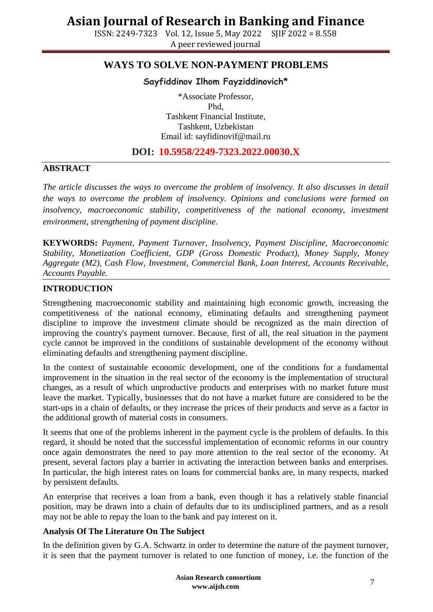ISSN: 2249-7323 Vol. 12, Issue 5, May 2022 SJIF 2022 = 8.558 A peer reviewed journal

### **WAYS TO SOLVE NON-PAYMENT PROBLEMS**

### **Sayfiddinov Ilhom Fayziddinovich\***

\*Associate Professor, Phd, Tashkent Financial Institute, Tashkent, Uzbekistan Email id: [sayfidinovif@mail.ru](mailto:sayfidinovif@mail.ru)

### **DOI: 10.5958/2249-7323.2022.00030.X**

#### **ABSTRACT**

*The article discusses the ways to overcome the problem of insolvency. It also discusses in detail the ways to overcome the problem of insolvency. Opinions and conclusions were formed on*  insolvency, macroeconomic stability, competitiveness of the national economy, investment *environment, strengthening of payment discipline.*

**KEYWORDS:** *Payment, Payment Turnover, Insolvency, Payment Discipline, Macroeconomic Stability, Monetization Coefficient, GDP (Gross Domestic Product), Money Supply, Money Aggregate (M2), Cash Flow, Investment, Commercial Bank, Loan Interest, Accounts Receivable, Accounts Payable.*

#### **INTRODUCTION**

Strengthening macroeconomic stability and maintaining high economic growth, increasing the competitiveness of the national economy, eliminating defaults and strengthening payment discipline to improve the investment climate should be recognized as the main direction of improving the country's payment turnover. Because, first of all, the real situation in the payment cycle cannot be improved in the conditions of sustainable development of the economy without eliminating defaults and strengthening payment discipline.

In the context of sustainable economic development, one of the conditions for a fundamental improvement in the situation in the real sector of the economy is the implementation of structural changes, as a result of which unproductive products and enterprises with no market future must leave the market. Typically, businesses that do not have a market future are considered to be the start-ups in a chain of defaults, or they increase the prices of their products and serve as a factor in the additional growth of material costs in consumers.

It seems that one of the problems inherent in the payment cycle is the problem of defaults. In this regard, it should be noted that the successful implementation of economic reforms in our country once again demonstrates the need to pay more attention to the real sector of the economy. At present, several factors play a barrier in activating the interaction between banks and enterprises. In particular, the high interest rates on loans for commercial banks are, in many respects, marked by persistent defaults.

An enterprise that receives a loan from a bank, even though it has a relatively stable financial position, may be drawn into a chain of defaults due to its undisciplined partners, and as a result may not be able to repay the loan to the bank and pay interest on it.

#### **Analysis Of The Literature On The Subject**

In the definition given by G.A. Schwartz in order to determine the nature of the payment turnover, it is seen that the payment turnover is related to one function of money, i.e. the function of the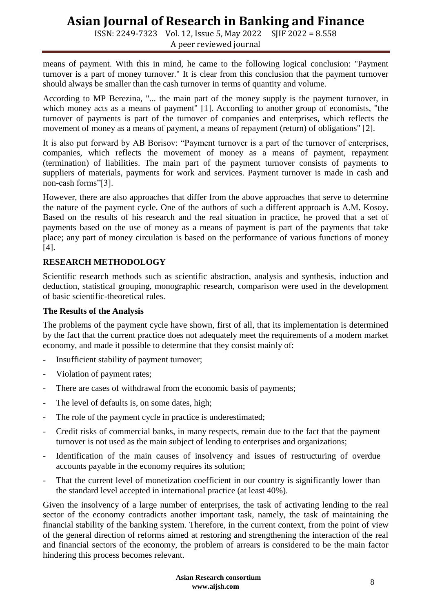ISSN: 2249-7323 Vol. 12, Issue 5, May 2022 SJIF 2022 = 8.558 A peer reviewed journal

means of payment. With this in mind, he came to the following logical conclusion: "Payment turnover is a part of money turnover." It is clear from this conclusion that the payment turnover should always be smaller than the cash turnover in terms of quantity and volume.

According to MP Berezina, "... the main part of the money supply is the payment turnover, in which money acts as a means of payment" [1]. According to another group of economists, "the turnover of payments is part of the turnover of companies and enterprises, which reflects the movement of money as a means of payment, a means of repayment (return) of obligations" [2].

It is also put forward by AB Borisov: "Payment turnover is a part of the turnover of enterprises, companies, which reflects the movement of money as a means of payment, repayment (termination) of liabilities. The main part of the payment turnover consists of payments to suppliers of materials, payments for work and services. Payment turnover is made in cash and non-cash forms"[3].

However, there are also approaches that differ from the above approaches that serve to determine the nature of the payment cycle. One of the authors of such a different approach is A.M. Kosoy. Based on the results of his research and the real situation in practice, he proved that a set of payments based on the use of money as a means of payment is part of the payments that take place; any part of money circulation is based on the performance of various functions of money [4].

#### **RESEARCH METHODOLOGY**

Scientific research methods such as scientific abstraction, analysis and synthesis, induction and deduction, statistical grouping, monographic research, comparison were used in the development of basic scientific-theoretical rules.

#### **The Results of the Analysis**

The problems of the payment cycle have shown, first of all, that its implementation is determined by the fact that the current practice does not adequately meet the requirements of a modern market economy, and made it possible to determine that they consist mainly of:

- Insufficient stability of payment turnover;
- Violation of payment rates;
- There are cases of withdrawal from the economic basis of payments;
- The level of defaults is, on some dates, high;
- The role of the payment cycle in practice is underestimated;
- Credit risks of commercial banks, in many respects, remain due to the fact that the payment turnover is not used as the main subject of lending to enterprises and organizations;
- Identification of the main causes of insolvency and issues of restructuring of overdue accounts payable in the economy requires its solution;
- That the current level of monetization coefficient in our country is significantly lower than the standard level accepted in international practice (at least 40%).

Given the insolvency of a large number of enterprises, the task of activating lending to the real sector of the economy contradicts another important task, namely, the task of maintaining the financial stability of the banking system. Therefore, in the current context, from the point of view of the general direction of reforms aimed at restoring and strengthening the interaction of the real and financial sectors of the economy, the problem of arrears is considered to be the main factor hindering this process becomes relevant.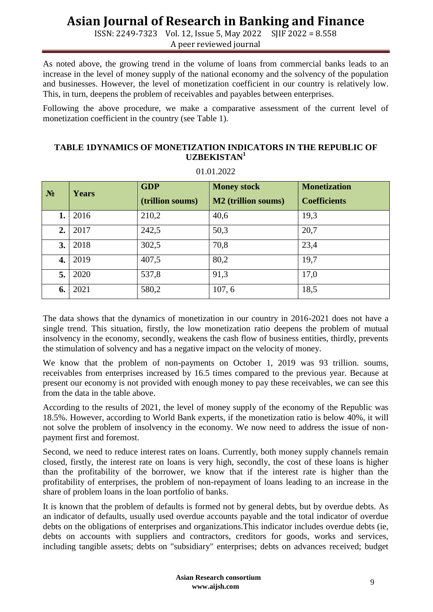ISSN: 2249-7323 Vol. 12, Issue 5, May 2022 SJIF 2022 = 8.558 A peer reviewed journal

As noted above, the growing trend in the volume of loans from commercial banks leads to an increase in the level of money supply of the national economy and the solvency of the population and businesses. However, the level of monetization coefficient in our country is relatively low. This, in turn, deepens the problem of receivables and payables between enterprises.

Following the above procedure, we make a comparative assessment of the current level of monetization coefficient in the country (see Table 1).

#### **TABLE 1DYNAMICS OF MONETIZATION INDICATORS IN THE REPUBLIC OF UZBEKISTAN<sup>1</sup>**

| $N_2$ | Years | <b>GDP</b><br>(trillion soums) | <b>Money stock</b><br><b>M2</b> (trillion soums) | <b>Monetization</b><br><b>Coefficients</b> |
|-------|-------|--------------------------------|--------------------------------------------------|--------------------------------------------|
| 1.    | 2016  | 210,2                          | 40,6                                             | 19,3                                       |
| 2.    | 2017  | 242,5                          | 50,3                                             | 20,7                                       |
| 3.    | 2018  | 302,5                          | 70,8                                             | 23,4                                       |
| 4.    | 2019  | 407,5                          | 80,2                                             | 19,7                                       |
| 5.    | 2020  | 537,8                          | 91,3                                             | 17,0                                       |
| 6.    | 2021  | 580,2                          | 107, 6                                           | 18,5                                       |

01.01.2022

The data shows that the dynamics of monetization in our country in 2016-2021 does not have a single trend. This situation, firstly, the low monetization ratio deepens the problem of mutual insolvency in the economy, secondly, weakens the cash flow of business entities, thirdly, prevents the stimulation of solvency and has a negative impact on the velocity of money.

We know that the problem of non-payments on October 1, 2019 was 93 trillion. soums, receivables from enterprises increased by 16.5 times compared to the previous year. Because at present our economy is not provided with enough money to pay these receivables, we can see this from the data in the table above.

According to the results of 2021, the level of money supply of the economy of the Republic was 18.5%. However, according to World Bank experts, if the monetization ratio is below 40%, it will not solve the problem of insolvency in the economy. We now need to address the issue of nonpayment first and foremost.

Second, we need to reduce interest rates on loans. Currently, both money supply channels remain closed, firstly, the interest rate on loans is very high, secondly, the cost of these loans is higher than the profitability of the borrower, we know that if the interest rate is higher than the profitability of enterprises, the problem of non-repayment of loans leading to an increase in the share of problem loans in the loan portfolio of banks.

It is known that the problem of defaults is formed not by general debts, but by overdue debts. As an indicator of defaults, usually used overdue accounts payable and the total indicator of overdue debts on the obligations of enterprises and organizations.This indicator includes overdue debts (ie, debts on accounts with suppliers and contractors, creditors for goods, works and services, including tangible assets; debts on "subsidiary" enterprises; debts on advances received; budget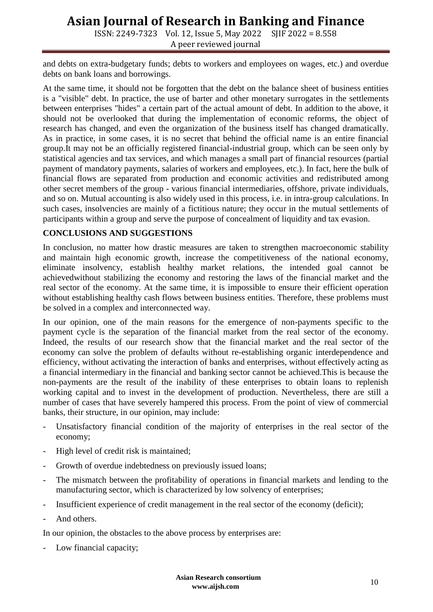ISSN: 2249-7323 Vol. 12, Issue 5, May 2022 SJIF 2022 = 8.558 A peer reviewed journal

and debts on extra-budgetary funds; debts to workers and employees on wages, etc.) and overdue debts on bank loans and borrowings.

At the same time, it should not be forgotten that the debt on the balance sheet of business entities is a "visible" debt. In practice, the use of barter and other monetary surrogates in the settlements between enterprises "hides" a certain part of the actual amount of debt. In addition to the above, it should not be overlooked that during the implementation of economic reforms, the object of research has changed, and even the organization of the business itself has changed dramatically. As in practice, in some cases, it is no secret that behind the official name is an entire financial group.It may not be an officially registered financial-industrial group, which can be seen only by statistical agencies and tax services, and which manages a small part of financial resources (partial payment of mandatory payments, salaries of workers and employees, etc.). In fact, here the bulk of financial flows are separated from production and economic activities and redistributed among other secret members of the group - various financial intermediaries, offshore, private individuals, and so on. Mutual accounting is also widely used in this process, i.e. in intra-group calculations. In such cases, insolvencies are mainly of a fictitious nature; they occur in the mutual settlements of participants within a group and serve the purpose of concealment of liquidity and tax evasion.

#### **CONCLUSIONS AND SUGGESTIONS**

In conclusion, no matter how drastic measures are taken to strengthen macroeconomic stability and maintain high economic growth, increase the competitiveness of the national economy, eliminate insolvency, establish healthy market relations, the intended goal cannot be achievedwithout stabilizing the economy and restoring the laws of the financial market and the real sector of the economy. At the same time, it is impossible to ensure their efficient operation without establishing healthy cash flows between business entities. Therefore, these problems must be solved in a complex and interconnected way.

In our opinion, one of the main reasons for the emergence of non-payments specific to the payment cycle is the separation of the financial market from the real sector of the economy. Indeed, the results of our research show that the financial market and the real sector of the economy can solve the problem of defaults without re-establishing organic interdependence and efficiency, without activating the interaction of banks and enterprises, without effectively acting as a financial intermediary in the financial and banking sector cannot be achieved.This is because the non-payments are the result of the inability of these enterprises to obtain loans to replenish working capital and to invest in the development of production. Nevertheless, there are still a number of cases that have severely hampered this process. From the point of view of commercial banks, their structure, in our opinion, may include:

- Unsatisfactory financial condition of the majority of enterprises in the real sector of the economy;
- High level of credit risk is maintained;
- Growth of overdue indebtedness on previously issued loans;
- The mismatch between the profitability of operations in financial markets and lending to the manufacturing sector, which is characterized by low solvency of enterprises;
- Insufficient experience of credit management in the real sector of the economy (deficit);
- And others.

In our opinion, the obstacles to the above process by enterprises are:

Low financial capacity;